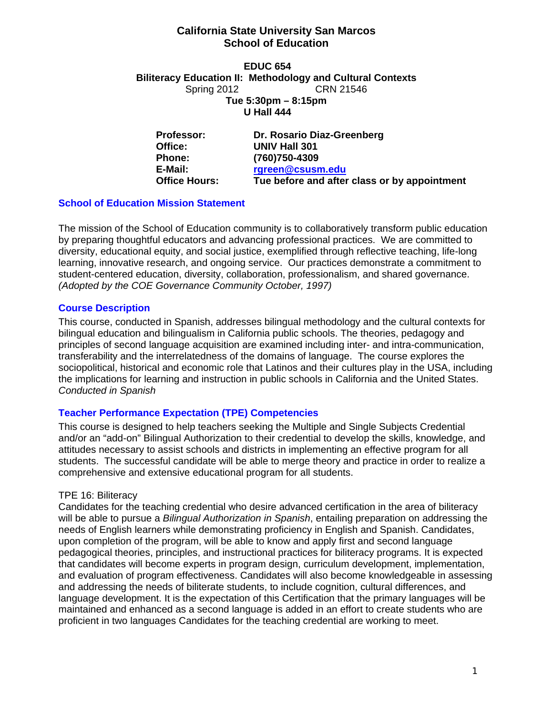### **California State University San Marcos School of Education**

**EDUC 654 Biliteracy Education II: Methodology and Cultural Contexts**  Spring 2012 **CRN 21546 Tue 5:30pm – 8:15pm U Hall 444** 

Office: **Professor: Dr. Rosario Diaz-Greenberg Office: UNIV Hall 301 Phone: (760)750-4309 E-Mail: rgreen@csusm.edu Office Hours: Tue before and after class or by appointment** 

## **School of Education Mission Statement**

The mission of the School of Education community is to collaboratively transform public education by preparing thoughtful educators and advancing professional practices. We are committed to diversity, educational equity, and social justice, exemplified through reflective teaching, life-long learning, innovative research, and ongoing service. Our practices demonstrate a commitment to student-centered education, diversity, collaboration, professionalism, and shared governance. *(Adopted by the COE Governance Community October, 1997)* 

## **Course Description**

This course, conducted in Spanish, addresses bilingual methodology and the cultural contexts for bilingual education and bilingualism in California public schools. The theories, pedagogy and principles of second language acquisition are examined including inter- and intra-communication, transferability and the interrelatedness of the domains of language. The course explores the sociopolitical, historical and economic role that Latinos and their cultures play in the USA, including the implications for learning and instruction in public schools in California and the United States. *Conducted in Spanish* 

# **Teacher Performance Expectation (TPE) Competencies**

This course is designed to help teachers seeking the Multiple and Single Subjects Credential and/or an "add-on" Bilingual Authorization to their credential to develop the skills, knowledge, and attitudes necessary to assist schools and districts in implementing an effective program for all students. The successful candidate will be able to merge theory and practice in order to realize a comprehensive and extensive educational program for all students.

#### TPE 16: Biliteracy

Candidates for the teaching credential who desire advanced certification in the area of biliteracy will be able to pursue a *Bilingual Authorization in Spanish*, entailing preparation on addressing the needs of English learners while demonstrating proficiency in English and Spanish. Candidates, upon completion of the program, will be able to know and apply first and second language pedagogical theories, principles, and instructional practices for biliteracy programs. It is expected that candidates will become experts in program design, curriculum development, implementation, and evaluation of program effectiveness. Candidates will also become knowledgeable in assessing and addressing the needs of biliterate students, to include cognition, cultural differences, and language development. It is the expectation of this Certification that the primary languages will be maintained and enhanced as a second language is added in an effort to create students who are proficient in two languages Candidates for the teaching credential are working to meet.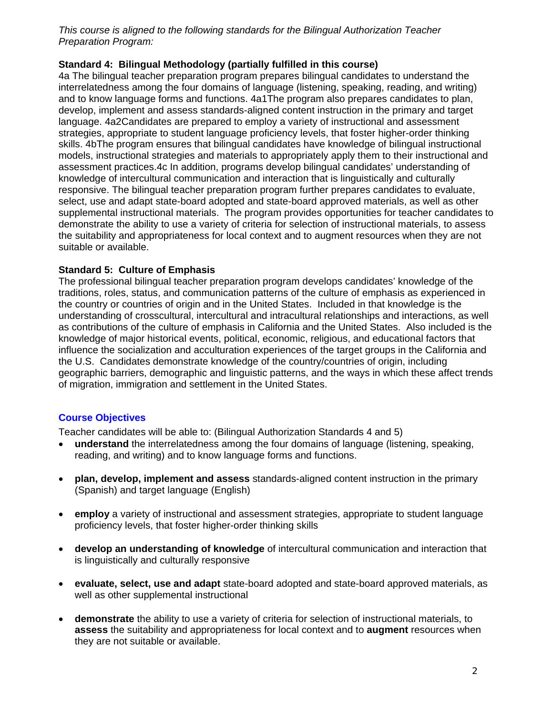*This course is aligned to the following standards for the Bilingual Authorization Teacher Preparation Program:* 

## **Standard 4: Bilingual Methodology (partially fulfilled in this course)**

4a The bilingual teacher preparation program prepares bilingual candidates to understand the interrelatedness among the four domains of language (listening, speaking, reading, and writing) and to know language forms and functions. 4a1The program also prepares candidates to plan, develop, implement and assess standards-aligned content instruction in the primary and target language. 4a2Candidates are prepared to employ a variety of instructional and assessment strategies, appropriate to student language proficiency levels, that foster higher-order thinking skills. 4bThe program ensures that bilingual candidates have knowledge of bilingual instructional models, instructional strategies and materials to appropriately apply them to their instructional and assessment practices.4c In addition, programs develop bilingual candidates' understanding of knowledge of intercultural communication and interaction that is linguistically and culturally responsive. The bilingual teacher preparation program further prepares candidates to evaluate, select, use and adapt state-board adopted and state-board approved materials, as well as other supplemental instructional materials. The program provides opportunities for teacher candidates to demonstrate the ability to use a variety of criteria for selection of instructional materials, to assess the suitability and appropriateness for local context and to augment resources when they are not suitable or available.

#### **Standard 5: Culture of Emphasis**

The professional bilingual teacher preparation program develops candidates' knowledge of the traditions, roles, status, and communication patterns of the culture of emphasis as experienced in the country or countries of origin and in the United States. Included in that knowledge is the understanding of crosscultural, intercultural and intracultural relationships and interactions, as well as contributions of the culture of emphasis in California and the United States. Also included is the knowledge of major historical events, political, economic, religious, and educational factors that influence the socialization and acculturation experiences of the target groups in the California and the U.S. Candidates demonstrate knowledge of the country/countries of origin, including geographic barriers, demographic and linguistic patterns, and the ways in which these affect trends of migration, immigration and settlement in the United States.

# **Course Objectives**

Teacher candidates will be able to: (Bilingual Authorization Standards 4 and 5)

- **understand** the interrelatedness among the four domains of language (listening, speaking, reading, and writing) and to know language forms and functions.
- **plan, develop, implement and assess** standards-aligned content instruction in the primary (Spanish) and target language (English)
- **employ** a variety of instructional and assessment strategies, appropriate to student language proficiency levels, that foster higher-order thinking skills
- **develop an understanding of knowledge** of intercultural communication and interaction that is linguistically and culturally responsive
- **evaluate, select, use and adapt** state-board adopted and state-board approved materials, as well as other supplemental instructional
- **demonstrate** the ability to use a variety of criteria for selection of instructional materials, to **assess** the suitability and appropriateness for local context and to **augment** resources when they are not suitable or available.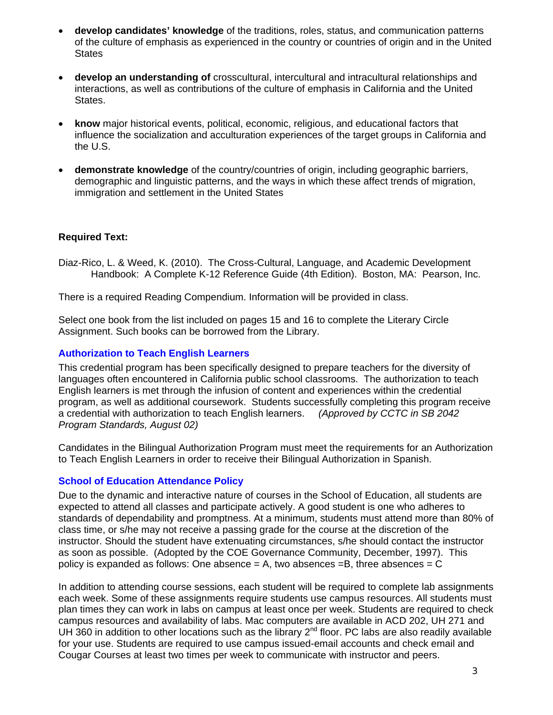- **develop candidates' knowledge** of the traditions, roles, status, and communication patterns of the culture of emphasis as experienced in the country or countries of origin and in the United **States**
- **develop an understanding of** crosscultural, intercultural and intracultural relationships and interactions, as well as contributions of the culture of emphasis in California and the United States.
- **know** major historical events, political, economic, religious, and educational factors that influence the socialization and acculturation experiences of the target groups in California and the U.S.
- **demonstrate knowledge** of the country/countries of origin, including geographic barriers, demographic and linguistic patterns, and the ways in which these affect trends of migration, immigration and settlement in the United States

## **Required Text:**

Diaz-Rico, L. & Weed, K. (2010). The Cross-Cultural, Language, and Academic Development Handbook: A Complete K-12 Reference Guide (4th Edition). Boston, MA: Pearson, Inc.

There is a required Reading Compendium. Information will be provided in class.

Select one book from the list included on pages 15 and 16 to complete the Literary Circle Assignment. Such books can be borrowed from the Library.

### **Authorization to Teach English Learners**

 *Program Standards, August 02)* This credential program has been specifically designed to prepare teachers for the diversity of languages often encountered in California public school classrooms. The authorization to teach English learners is met through the infusion of content and experiences within the credential program, as well as additional coursework. Students successfully completing this program receive a credential with authorization to teach English learners. *(Approved by CCTC in SB 2042* 

Candidates in the Bilingual Authorization Program must meet the requirements for an Authorization to Teach English Learners in order to receive their Bilingual Authorization in Spanish.

#### **School of Education Attendance Policy**

Due to the dynamic and interactive nature of courses in the School of Education, all students are expected to attend all classes and participate actively. A good student is one who adheres to standards of dependability and promptness. At a minimum, students must attend more than 80% of class time, or s/he may not receive a passing grade for the course at the discretion of the instructor. Should the student have extenuating circumstances, s/he should contact the instructor as soon as possible. (Adopted by the COE Governance Community, December, 1997). This policy is expanded as follows: One absence  $= A$ , two absences  $= B$ , three absences  $= C$ 

In addition to attending course sessions, each student will be required to complete lab assignments each week. Some of these assignments require students use campus resources. All students must plan times they can work in labs on campus at least once per week. Students are required to check campus resources and availability of labs. Mac computers are available in ACD 202, UH 271 and UH 360 in addition to other locations such as the library  $2^{nd}$  floor. PC labs are also readily available for your use. Students are required to use campus issued-email accounts and check email and Cougar Courses at least two times per week to communicate with instructor and peers.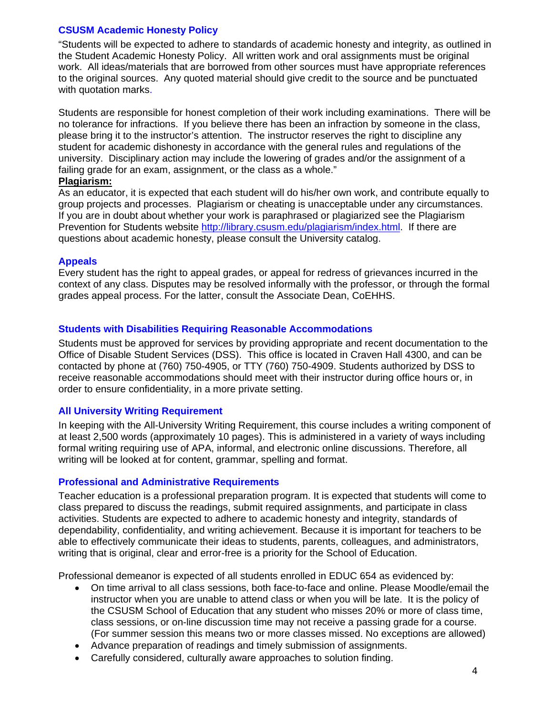#### **CSUSM Academic Honesty Policy**

"Students will be expected to adhere to standards of academic honesty and integrity, as outlined in the Student Academic Honesty Policy. All written work and oral assignments must be original work. All ideas/materials that are borrowed from other sources must have appropriate references to the original sources. Any quoted material should give credit to the source and be punctuated with quotation marks.

Students are responsible for honest completion of their work including examinations. There will be no tolerance for infractions. If you believe there has been an infraction by someone in the class, please bring it to the instructor's attention. The instructor reserves the right to discipline any student for academic dishonesty in accordance with the general rules and regulations of the university. Disciplinary action may include the lowering of grades and/or the assignment of a failing grade for an exam, assignment, or the class as a whole."

#### **Plagiarism:**

As an educator, it is expected that each student will do his/her own work, and contribute equally to group projects and processes. Plagiarism or cheating is unacceptable under any circumstances. If you are in doubt about whether your work is paraphrased or plagiarized see the Plagiarism Prevention for Students website http://library.csusm.edu/plagiarism/index.html. If there are questions about academic honesty, please consult the University catalog.

#### **Appeals**

Every student has the right to appeal grades, or appeal for redress of grievances incurred in the context of any class. Disputes may be resolved informally with the professor, or through the formal grades appeal process. For the latter, consult the Associate Dean, CoEHHS.

#### **Students with Disabilities Requiring Reasonable Accommodations**

Students must be approved for services by providing appropriate and recent documentation to the Office of Disable Student Services (DSS). This office is located in Craven Hall 4300, and can be contacted by phone at (760) 750-4905, or TTY (760) 750-4909. Students authorized by DSS to receive reasonable accommodations should meet with their instructor during office hours or, in order to ensure confidentiality, in a more private setting.

#### **All University Writing Requirement**

In keeping with the All-University Writing Requirement, this course includes a writing component of at least 2,500 words (approximately 10 pages). This is administered in a variety of ways including formal writing requiring use of APA, informal, and electronic online discussions. Therefore, all writing will be looked at for content, grammar, spelling and format.

#### **Professional and Administrative Requirements**

Teacher education is a professional preparation program. It is expected that students will come to class prepared to discuss the readings, submit required assignments, and participate in class activities. Students are expected to adhere to academic honesty and integrity, standards of dependability, confidentiality, and writing achievement. Because it is important for teachers to be able to effectively communicate their ideas to students, parents, colleagues, and administrators, writing that is original, clear and error-free is a priority for the School of Education.

Professional demeanor is expected of all students enrolled in EDUC 654 as evidenced by:

- On time arrival to all class sessions, both face-to-face and online. Please Moodle/email the instructor when you are unable to attend class or when you will be late. It is the policy of the CSUSM School of Education that any student who misses 20% or more of class time, class sessions, or on-line discussion time may not receive a passing grade for a course. (For summer session this means two or more classes missed. No exceptions are allowed)
- Advance preparation of readings and timely submission of assignments.
- Carefully considered, culturally aware approaches to solution finding.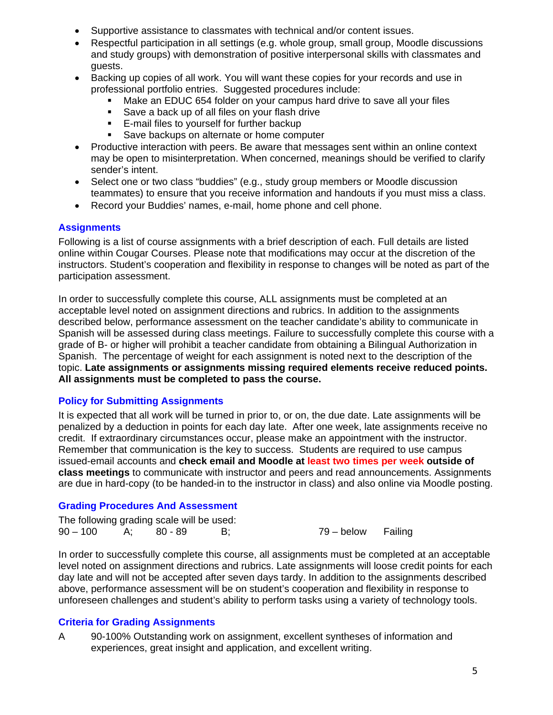- Supportive assistance to classmates with technical and/or content issues.
- Respectful participation in all settings (e.g. whole group, small group, Moodle discussions and study groups) with demonstration of positive interpersonal skills with classmates and guests.
- Backing up copies of all work. You will want these copies for your records and use in professional portfolio entries. Suggested procedures include:
	- Make an EDUC 654 folder on your campus hard drive to save all your files
	- Save a back up of all files on your flash drive
	- **E-mail files to yourself for further backup**
	- Save backups on alternate or home computer
- Productive interaction with peers. Be aware that messages sent within an online context may be open to misinterpretation. When concerned, meanings should be verified to clarify sender's intent.
- teammates) to ensure that you receive information and handouts if you must miss a class. Select one or two class "buddies" (e.g., study group members or Moodle discussion
- Record your Buddies' names, e-mail, home phone and cell phone.

## **Assignments**

Following is a list of course assignments with a brief description of each. Full details are listed online within Cougar Courses. Please note that modifications may occur at the discretion of the instructors. Student's cooperation and flexibility in response to changes will be noted as part of the participation assessment.

In order to successfully complete this course, ALL assignments must be completed at an acceptable level noted on assignment directions and rubrics. In addition to the assignments described below, performance assessment on the teacher candidate's ability to communicate in Spanish will be assessed during class meetings. Failure to successfully complete this course with a grade of B- or higher will prohibit a teacher candidate from obtaining a Bilingual Authorization in Spanish. The percentage of weight for each assignment is noted next to the description of the topic. **Late assignments or assignments missing required elements receive reduced points. All assignments must be completed to pass the course.** 

# **Policy for Submitting Assignments**

It is expected that all work will be turned in prior to, or on, the due date. Late assignments will be penalized by a deduction in points for each day late. After one week, late assignments receive no credit. If extraordinary circumstances occur, please make an appointment with the instructor. Remember that communication is the key to success. Students are required to use campus issued-email accounts and **check email and Moodle at least two times per week outside of class meetings** to communicate with instructor and peers and read announcements. Assignments are due in hard-copy (to be handed-in to the instructor in class) and also online via Moodle posting.

# **Grading Procedures And Assessment**

| The following grading scale will be used: |  |                    |  |
|-------------------------------------------|--|--------------------|--|
| $90 - 100$ A; $80 - 89$                   |  | 79 – below Failing |  |

In order to successfully complete this course, all assignments must be completed at an acceptable level noted on assignment directions and rubrics. Late assignments will loose credit points for each day late and will not be accepted after seven days tardy. In addition to the assignments described above, performance assessment will be on student's cooperation and flexibility in response to unforeseen challenges and student's ability to perform tasks using a variety of technology tools.

# **Criteria for Grading Assignments**

A 90-100% Outstanding work on assignment, excellent syntheses of information and experiences, great insight and application, and excellent writing.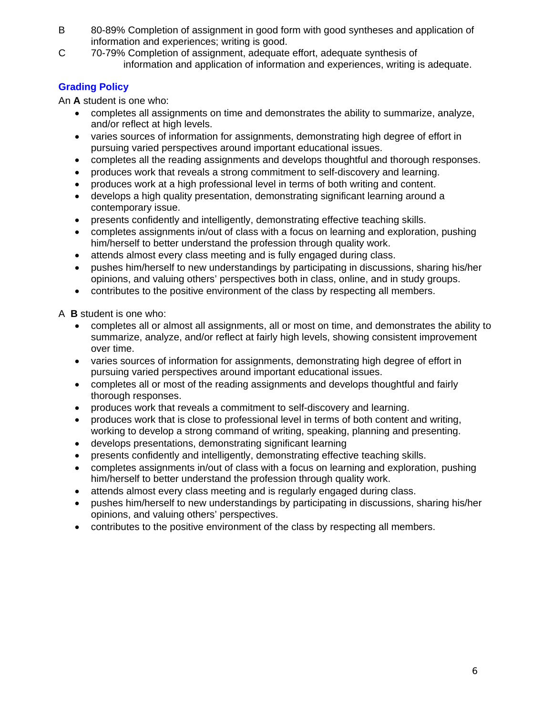- B 80-89% Completion of assignment in good form with good syntheses and application of information and experiences; writing is good.
- C 70-79% Completion of assignment, adequate effort, adequate synthesis of information and application of information and experiences, writing is adequate.

# **Grading Policy**

An **A** student is one who:

- completes all assignments on time and demonstrates the ability to summarize, analyze, and/or reflect at high levels.
- varies sources of information for assignments, demonstrating high degree of effort in pursuing varied perspectives around important educational issues.
- completes all the reading assignments and develops thoughtful and thorough responses.
- produces work that reveals a strong commitment to self-discovery and learning.
- produces work at a high professional level in terms of both writing and content.
- develops a high quality presentation, demonstrating significant learning around a contemporary issue.
- presents confidently and intelligently, demonstrating effective teaching skills.
- completes assignments in/out of class with a focus on learning and exploration, pushing him/herself to better understand the profession through quality work.
- attends almost every class meeting and is fully engaged during class.
- pushes him/herself to new understandings by participating in discussions, sharing his/her opinions, and valuing others' perspectives both in class, online, and in study groups.
- contributes to the positive environment of the class by respecting all members.

A **B** student is one who:

- completes all or almost all assignments, all or most on time, and demonstrates the ability to summarize, analyze, and/or reflect at fairly high levels, showing consistent improvement over time.
- varies sources of information for assignments, demonstrating high degree of effort in pursuing varied perspectives around important educational issues.
- thorough responses. completes all or most of the reading assignments and develops thoughtful and fairly
- produces work that reveals a commitment to self-discovery and learning.
- produces work that is close to professional level in terms of both content and writing, working to develop a strong command of writing, speaking, planning and presenting.
- develops presentations, demonstrating significant learning
- presents confidently and intelligently, demonstrating effective teaching skills.
- completes assignments in/out of class with a focus on learning and exploration, pushing him/herself to better understand the profession through quality work.
- attends almost every class meeting and is regularly engaged during class.
- pushes him/herself to new understandings by participating in discussions, sharing his/her opinions, and valuing others' perspectives.
- contributes to the positive environment of the class by respecting all members.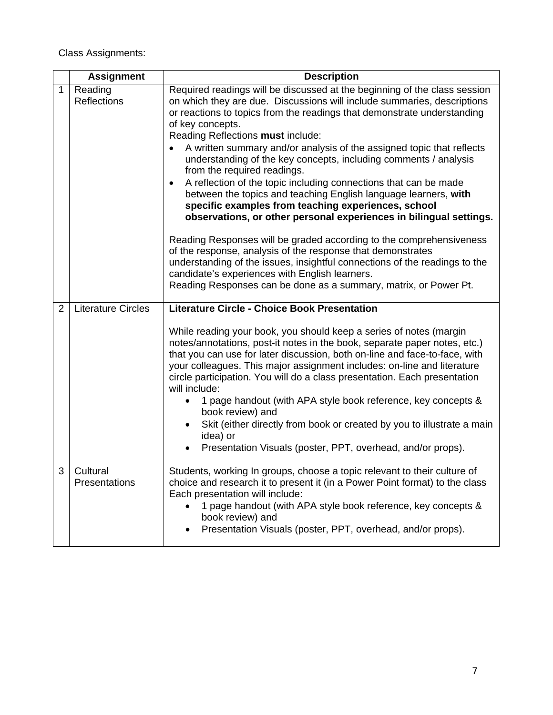Class Assignments:

|                | <b>Assignment</b>             | <b>Description</b>                                                                                                                                                                                                                                                                                                                                                                                                                                                                                                                                                                                                                                                                                                                                                                                              |  |
|----------------|-------------------------------|-----------------------------------------------------------------------------------------------------------------------------------------------------------------------------------------------------------------------------------------------------------------------------------------------------------------------------------------------------------------------------------------------------------------------------------------------------------------------------------------------------------------------------------------------------------------------------------------------------------------------------------------------------------------------------------------------------------------------------------------------------------------------------------------------------------------|--|
| 1              | Reading<br><b>Reflections</b> | Required readings will be discussed at the beginning of the class session<br>on which they are due. Discussions will include summaries, descriptions<br>or reactions to topics from the readings that demonstrate understanding<br>of key concepts.<br>Reading Reflections must include:<br>A written summary and/or analysis of the assigned topic that reflects<br>understanding of the key concepts, including comments / analysis<br>from the required readings.<br>A reflection of the topic including connections that can be made<br>between the topics and teaching English language learners, with<br>specific examples from teaching experiences, school<br>observations, or other personal experiences in bilingual settings.<br>Reading Responses will be graded according to the comprehensiveness |  |
|                |                               | of the response, analysis of the response that demonstrates<br>understanding of the issues, insightful connections of the readings to the<br>candidate's experiences with English learners.<br>Reading Responses can be done as a summary, matrix, or Power Pt.                                                                                                                                                                                                                                                                                                                                                                                                                                                                                                                                                 |  |
| 2              | <b>Literature Circles</b>     | <b>Literature Circle - Choice Book Presentation</b>                                                                                                                                                                                                                                                                                                                                                                                                                                                                                                                                                                                                                                                                                                                                                             |  |
|                |                               | While reading your book, you should keep a series of notes (margin<br>notes/annotations, post-it notes in the book, separate paper notes, etc.)<br>that you can use for later discussion, both on-line and face-to-face, with<br>your colleagues. This major assignment includes: on-line and literature<br>circle participation. You will do a class presentation. Each presentation<br>will include:<br>1 page handout (with APA style book reference, key concepts &                                                                                                                                                                                                                                                                                                                                         |  |
|                |                               | book review) and<br>Skit (either directly from book or created by you to illustrate a main<br>idea) or<br>Presentation Visuals (poster, PPT, overhead, and/or props).                                                                                                                                                                                                                                                                                                                                                                                                                                                                                                                                                                                                                                           |  |
|                |                               |                                                                                                                                                                                                                                                                                                                                                                                                                                                                                                                                                                                                                                                                                                                                                                                                                 |  |
| 3 <sup>1</sup> | Cultural<br>Presentations     | Students, working In groups, choose a topic relevant to their culture of<br>choice and research it to present it (in a Power Point format) to the class<br>Each presentation will include:<br>1 page handout (with APA style book reference, key concepts &<br>book review) and<br>Presentation Visuals (poster, PPT, overhead, and/or props).<br>$\bullet$                                                                                                                                                                                                                                                                                                                                                                                                                                                     |  |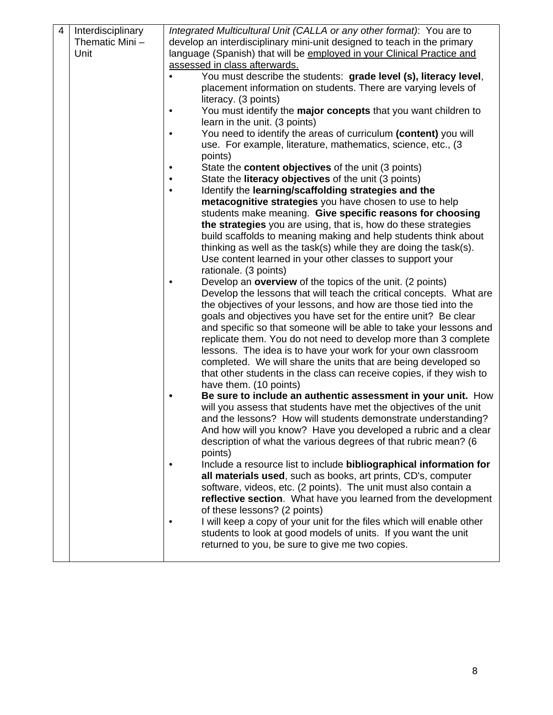| 4 | Interdisciplinary | Integrated Multicultural Unit (CALLA or any other format): You are to                                                             |
|---|-------------------|-----------------------------------------------------------------------------------------------------------------------------------|
|   | Thematic Mini-    | develop an interdisciplinary mini-unit designed to teach in the primary                                                           |
|   | Unit              | language (Spanish) that will be employed in your Clinical Practice and                                                            |
|   |                   | assessed in class afterwards.                                                                                                     |
|   |                   | You must describe the students: grade level (s), literacy level,                                                                  |
|   |                   | placement information on students. There are varying levels of                                                                    |
|   |                   | literacy. (3 points)                                                                                                              |
|   |                   | You must identify the major concepts that you want children to<br>$\bullet$                                                       |
|   |                   | learn in the unit. (3 points)                                                                                                     |
|   |                   | You need to identify the areas of curriculum (content) you will<br>$\bullet$                                                      |
|   |                   | use. For example, literature, mathematics, science, etc., (3                                                                      |
|   |                   | points)                                                                                                                           |
|   |                   | State the <b>content objectives</b> of the unit (3 points)                                                                        |
|   |                   | State the literacy objectives of the unit (3 points)                                                                              |
|   |                   | Identify the learning/scaffolding strategies and the<br>$\bullet$                                                                 |
|   |                   | metacognitive strategies you have chosen to use to help                                                                           |
|   |                   | students make meaning. Give specific reasons for choosing                                                                         |
|   |                   | the strategies you are using, that is, how do these strategies<br>build scaffolds to meaning making and help students think about |
|   |                   | thinking as well as the task(s) while they are doing the task(s).                                                                 |
|   |                   | Use content learned in your other classes to support your                                                                         |
|   |                   | rationale. (3 points)                                                                                                             |
|   |                   | Develop an <b>overview</b> of the topics of the unit. (2 points)                                                                  |
|   |                   | Develop the lessons that will teach the critical concepts. What are                                                               |
|   |                   | the objectives of your lessons, and how are those tied into the                                                                   |
|   |                   | goals and objectives you have set for the entire unit? Be clear                                                                   |
|   |                   | and specific so that someone will be able to take your lessons and                                                                |
|   |                   | replicate them. You do not need to develop more than 3 complete                                                                   |
|   |                   | lessons. The idea is to have your work for your own classroom                                                                     |
|   |                   | completed. We will share the units that are being developed so                                                                    |
|   |                   | that other students in the class can receive copies, if they wish to                                                              |
|   |                   | have them. (10 points)                                                                                                            |
|   |                   | Be sure to include an authentic assessment in your unit. How                                                                      |
|   |                   | will you assess that students have met the objectives of the unit                                                                 |
|   |                   | and the lessons? How will students demonstrate understanding?                                                                     |
|   |                   | And how will you know? Have you developed a rubric and a clear                                                                    |
|   |                   | description of what the various degrees of that rubric mean? (6                                                                   |
|   |                   | points)<br>Include a resource list to include bibliographical information for                                                     |
|   |                   | all materials used, such as books, art prints, CD's, computer                                                                     |
|   |                   | software, videos, etc. (2 points). The unit must also contain a                                                                   |
|   |                   | reflective section. What have you learned from the development                                                                    |
|   |                   | of these lessons? (2 points)                                                                                                      |
|   |                   | I will keep a copy of your unit for the files which will enable other                                                             |
|   |                   | students to look at good models of units. If you want the unit                                                                    |
|   |                   | returned to you, be sure to give me two copies.                                                                                   |
|   |                   |                                                                                                                                   |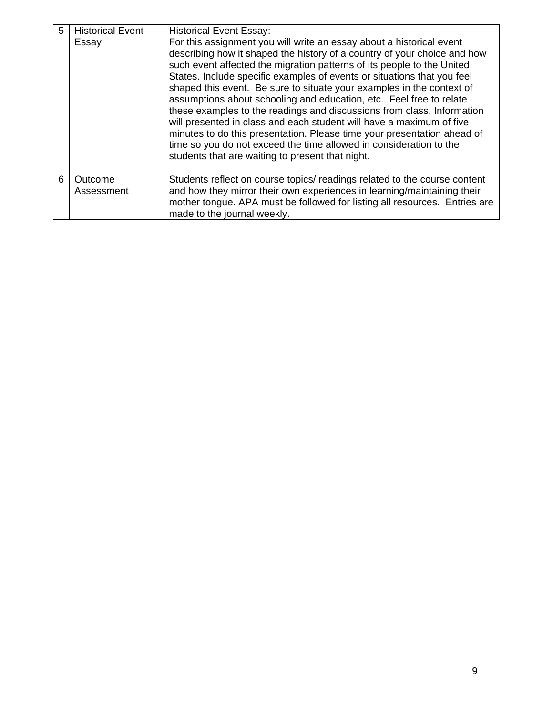| 5 | <b>Historical Event</b><br>Essay | <b>Historical Event Essay:</b><br>For this assignment you will write an essay about a historical event<br>describing how it shaped the history of a country of your choice and how<br>such event affected the migration patterns of its people to the United<br>States. Include specific examples of events or situations that you feel<br>shaped this event. Be sure to situate your examples in the context of<br>assumptions about schooling and education, etc. Feel free to relate<br>these examples to the readings and discussions from class. Information<br>will presented in class and each student will have a maximum of five<br>minutes to do this presentation. Please time your presentation ahead of<br>time so you do not exceed the time allowed in consideration to the<br>students that are waiting to present that night. |
|---|----------------------------------|------------------------------------------------------------------------------------------------------------------------------------------------------------------------------------------------------------------------------------------------------------------------------------------------------------------------------------------------------------------------------------------------------------------------------------------------------------------------------------------------------------------------------------------------------------------------------------------------------------------------------------------------------------------------------------------------------------------------------------------------------------------------------------------------------------------------------------------------|
| 6 | Outcome<br>Assessment            | Students reflect on course topics/ readings related to the course content<br>and how they mirror their own experiences in learning/maintaining their<br>mother tongue. APA must be followed for listing all resources. Entries are<br>made to the journal weekly.                                                                                                                                                                                                                                                                                                                                                                                                                                                                                                                                                                              |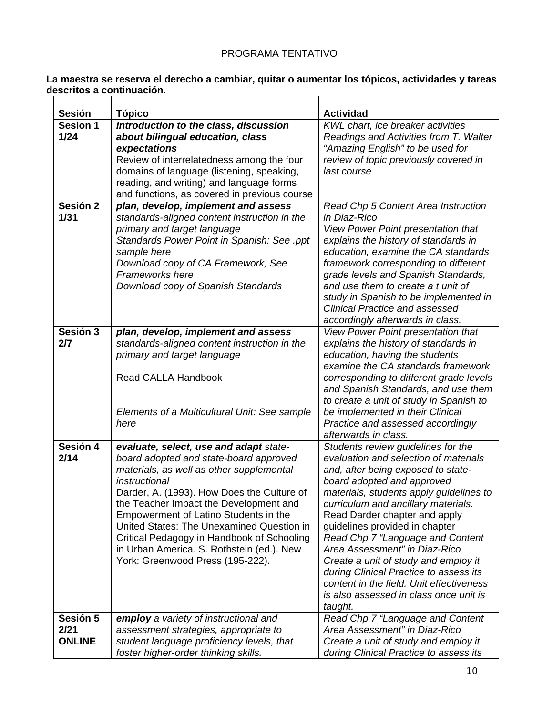# PROGRAMA TENTATIVO

#### **La maestra se reserva el derecho a cambiar, quitar o aumentar los tópicos, actividades y tareas descritos a continuación.**

| <b>Sesión</b>                     | <b>Tópico</b>                                                                                                                                                                                                                                                                                                                                                                                                                                              | <b>Actividad</b>                                                                                                                                                                                                                                                                                                                                                                                                                                                                                                                                              |
|-----------------------------------|------------------------------------------------------------------------------------------------------------------------------------------------------------------------------------------------------------------------------------------------------------------------------------------------------------------------------------------------------------------------------------------------------------------------------------------------------------|---------------------------------------------------------------------------------------------------------------------------------------------------------------------------------------------------------------------------------------------------------------------------------------------------------------------------------------------------------------------------------------------------------------------------------------------------------------------------------------------------------------------------------------------------------------|
| <b>Sesion 1</b>                   | Introduction to the class, discussion                                                                                                                                                                                                                                                                                                                                                                                                                      | KWL chart, ice breaker activities                                                                                                                                                                                                                                                                                                                                                                                                                                                                                                                             |
| $1/24$                            | about bilingual education, class<br>expectations<br>Review of interrelatedness among the four<br>domains of language (listening, speaking,<br>reading, and writing) and language forms<br>and functions, as covered in previous course                                                                                                                                                                                                                     | Readings and Activities from T. Walter<br>"Amazing English" to be used for<br>review of topic previously covered in<br>last course                                                                                                                                                                                                                                                                                                                                                                                                                            |
| Sesión 2<br>1/31                  | plan, develop, implement and assess<br>standards-aligned content instruction in the<br>primary and target language<br>Standards Power Point in Spanish: See .ppt<br>sample here<br>Download copy of CA Framework; See<br>Frameworks here<br>Download copy of Spanish Standards                                                                                                                                                                             | Read Chp 5 Content Area Instruction<br>in Diaz-Rico<br>View Power Point presentation that<br>explains the history of standards in<br>education, examine the CA standards<br>framework corresponding to different<br>grade levels and Spanish Standards,<br>and use them to create a t unit of<br>study in Spanish to be implemented in<br><b>Clinical Practice and assessed</b><br>accordingly afterwards in class.                                                                                                                                           |
| Sesión 3<br>2/7                   | plan, develop, implement and assess<br>standards-aligned content instruction in the<br>primary and target language<br><b>Read CALLA Handbook</b><br>Elements of a Multicultural Unit: See sample<br>here                                                                                                                                                                                                                                                   | View Power Point presentation that<br>explains the history of standards in<br>education, having the students<br>examine the CA standards framework<br>corresponding to different grade levels<br>and Spanish Standards, and use them<br>to create a unit of study in Spanish to<br>be implemented in their Clinical<br>Practice and assessed accordingly<br>afterwards in class.                                                                                                                                                                              |
| Sesión 4<br>2/14                  | evaluate, select, use and adapt state-<br>board adopted and state-board approved<br>materials, as well as other supplemental<br>instructional<br>Darder, A. (1993). How Does the Culture of<br>the Teacher Impact the Development and<br>Empowerment of Latino Students in the<br>United States: The Unexamined Question in<br>Critical Pedagogy in Handbook of Schooling<br>in Urban America. S. Rothstein (ed.). New<br>York: Greenwood Press (195-222). | Students review guidelines for the<br>evaluation and selection of materials<br>and, after being exposed to state-<br>board adopted and approved<br>materials, students apply guidelines to<br>curriculum and ancillary materials.<br>Read Darder chapter and apply<br>guidelines provided in chapter<br>Read Chp 7 "Language and Content"<br>Area Assessment" in Diaz-Rico<br>Create a unit of study and employ it<br>during Clinical Practice to assess its<br>content in the field. Unit effectiveness<br>is also assessed in class once unit is<br>taught. |
| Sesión 5<br>2/21<br><b>ONLINE</b> | employ a variety of instructional and<br>assessment strategies, appropriate to<br>student language proficiency levels, that<br>foster higher-order thinking skills.                                                                                                                                                                                                                                                                                        | Read Chp 7 "Language and Content<br>Area Assessment" in Diaz-Rico<br>Create a unit of study and employ it<br>during Clinical Practice to assess its                                                                                                                                                                                                                                                                                                                                                                                                           |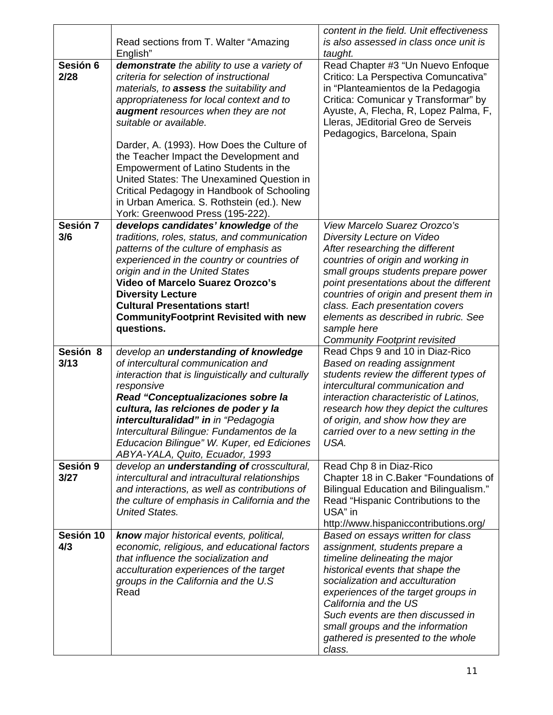|                  | Read sections from T. Walter "Amazing                                                                                                                                                                                                                                                                                                                                                                                                                                                                                                                               | content in the field. Unit effectiveness<br>is also assessed in class once unit is                                                                                                                                                                                                                                                                                                                        |
|------------------|---------------------------------------------------------------------------------------------------------------------------------------------------------------------------------------------------------------------------------------------------------------------------------------------------------------------------------------------------------------------------------------------------------------------------------------------------------------------------------------------------------------------------------------------------------------------|-----------------------------------------------------------------------------------------------------------------------------------------------------------------------------------------------------------------------------------------------------------------------------------------------------------------------------------------------------------------------------------------------------------|
|                  | English"                                                                                                                                                                                                                                                                                                                                                                                                                                                                                                                                                            | taught.                                                                                                                                                                                                                                                                                                                                                                                                   |
| Sesión 6<br>2/28 | demonstrate the ability to use a variety of<br>criteria for selection of instructional<br>materials, to assess the suitability and<br>appropriateness for local context and to<br><b>augment</b> resources when they are not<br>suitable or available.<br>Darder, A. (1993). How Does the Culture of<br>the Teacher Impact the Development and<br>Empowerment of Latino Students in the<br>United States: The Unexamined Question in<br>Critical Pedagogy in Handbook of Schooling<br>in Urban America. S. Rothstein (ed.). New<br>York: Greenwood Press (195-222). | Read Chapter #3 "Un Nuevo Enfoque<br>Critico: La Perspectiva Comuncativa"<br>in "Planteamientos de la Pedagogia<br>Critica: Comunicar y Transformar" by<br>Ayuste, A, Flecha, R, Lopez Palma, F,<br>Lleras, JEditorial Greo de Serveis<br>Pedagogics, Barcelona, Spain                                                                                                                                    |
| Sesión 7<br>3/6  | develops candidates' knowledge of the<br>traditions, roles, status, and communication<br>patterns of the culture of emphasis as<br>experienced in the country or countries of<br>origin and in the United States<br><b>Video of Marcelo Suarez Orozco's</b><br><b>Diversity Lecture</b><br><b>Cultural Presentations start!</b><br><b>CommunityFootprint Revisited with new</b><br>questions.                                                                                                                                                                       | <b>View Marcelo Suarez Orozco's</b><br>Diversity Lecture on Video<br>After researching the different<br>countries of origin and working in<br>small groups students prepare power<br>point presentations about the different<br>countries of origin and present them in<br>class. Each presentation covers<br>elements as described in rubric. See<br>sample here<br><b>Community Footprint revisited</b> |
| Sesión 8<br>3/13 | develop an understanding of knowledge<br>of intercultural communication and<br>interaction that is linguistically and culturally<br>responsive<br>Read "Conceptualizaciones sobre la<br>cultura, las relciones de poder y la<br>interculturalidad" in in "Pedagogia<br>Intercultural Bilingue: Fundamentos de la<br>Educacion Bilingue" W. Kuper, ed Ediciones<br>ABYA-YALA, Quito, Ecuador, 1993                                                                                                                                                                   | Read Chps 9 and 10 in Diaz-Rico<br>Based on reading assignment<br>students review the different types of<br>intercultural communication and<br>interaction characteristic of Latinos,<br>research how they depict the cultures<br>of origin, and show how they are<br>carried over to a new setting in the<br>USA.                                                                                        |
| Sesión 9<br>3/27 | develop an <i>understanding</i> of crosscultural,<br>intercultural and intracultural relationships<br>and interactions, as well as contributions of<br>the culture of emphasis in California and the<br><b>United States.</b>                                                                                                                                                                                                                                                                                                                                       | Read Chp 8 in Diaz-Rico<br>Chapter 18 in C.Baker "Foundations of<br><b>Bilingual Education and Bilingualism."</b><br>Read "Hispanic Contributions to the<br>USA" in<br>http://www.hispaniccontributions.org/                                                                                                                                                                                              |
| Sesión 10<br>4/3 | know major historical events, political,<br>economic, religious, and educational factors<br>that influence the socialization and<br>acculturation experiences of the target<br>groups in the California and the U.S<br>Read                                                                                                                                                                                                                                                                                                                                         | Based on essays written for class<br>assignment, students prepare a<br>timeline delineating the major<br>historical events that shape the<br>socialization and acculturation<br>experiences of the target groups in<br>California and the US<br>Such events are then discussed in<br>small groups and the information<br>gathered is presented to the whole<br>class.                                     |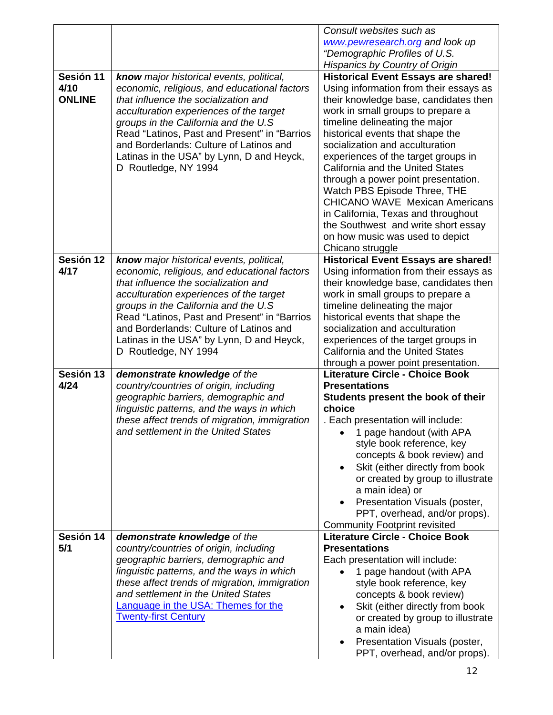|                   |                                                                                          | Consult websites such as<br>www.pewresearch.org and look up                          |
|-------------------|------------------------------------------------------------------------------------------|--------------------------------------------------------------------------------------|
|                   |                                                                                          | "Demographic Profiles of U.S.                                                        |
|                   |                                                                                          | <b>Hispanics by Country of Origin</b>                                                |
| Sesión 11<br>4/10 | know major historical events, political,<br>economic, religious, and educational factors | <b>Historical Event Essays are shared!</b><br>Using information from their essays as |
| <b>ONLINE</b>     | that influence the socialization and                                                     | their knowledge base, candidates then                                                |
|                   | acculturation experiences of the target                                                  | work in small groups to prepare a                                                    |
|                   | groups in the California and the U.S<br>Read "Latinos, Past and Present" in "Barrios     | timeline delineating the major<br>historical events that shape the                   |
|                   | and Borderlands: Culture of Latinos and                                                  | socialization and acculturation                                                      |
|                   | Latinas in the USA" by Lynn, D and Heyck,                                                | experiences of the target groups in                                                  |
|                   | D Routledge, NY 1994                                                                     | California and the United States                                                     |
|                   |                                                                                          | through a power point presentation.                                                  |
|                   |                                                                                          | Watch PBS Episode Three, THE<br><b>CHICANO WAVE Mexican Americans</b>                |
|                   |                                                                                          | in California, Texas and throughout                                                  |
|                   |                                                                                          | the Southwest and write short essay                                                  |
|                   |                                                                                          | on how music was used to depict                                                      |
|                   |                                                                                          | Chicano struggle                                                                     |
| Sesión 12<br>4/17 | know major historical events, political,<br>economic, religious, and educational factors | <b>Historical Event Essays are shared!</b><br>Using information from their essays as |
|                   | that influence the socialization and                                                     | their knowledge base, candidates then                                                |
|                   | acculturation experiences of the target                                                  | work in small groups to prepare a                                                    |
|                   | groups in the California and the U.S                                                     | timeline delineating the major                                                       |
|                   | Read "Latinos, Past and Present" in "Barrios<br>and Borderlands: Culture of Latinos and  | historical events that shape the<br>socialization and acculturation                  |
|                   |                                                                                          |                                                                                      |
|                   |                                                                                          |                                                                                      |
|                   | Latinas in the USA" by Lynn, D and Heyck,<br>D Routledge, NY 1994                        | experiences of the target groups in<br>California and the United States              |
|                   |                                                                                          | through a power point presentation.                                                  |
| Sesión 13         | demonstrate knowledge of the                                                             | <b>Literature Circle - Choice Book</b>                                               |
| 4/24              | country/countries of origin, including<br>geographic barriers, demographic and           | <b>Presentations</b>                                                                 |
|                   | linguistic patterns, and the ways in which                                               | Students present the book of their<br>choice                                         |
|                   | these affect trends of migration, immigration                                            | . Each presentation will include:                                                    |
|                   | and settlement in the United States                                                      | 1 page handout (with APA                                                             |
|                   |                                                                                          | style book reference, key                                                            |
|                   |                                                                                          | concepts & book review) and<br>Skit (either directly from book                       |
|                   |                                                                                          | or created by group to illustrate                                                    |
|                   |                                                                                          | a main idea) or                                                                      |
|                   |                                                                                          | Presentation Visuals (poster,                                                        |
|                   |                                                                                          | PPT, overhead, and/or props).                                                        |
| Sesión 14         | demonstrate knowledge of the                                                             | <b>Community Footprint revisited</b><br><b>Literature Circle - Choice Book</b>       |
| 5/1               | country/countries of origin, including                                                   | <b>Presentations</b>                                                                 |
|                   | geographic barriers, demographic and                                                     | Each presentation will include:                                                      |
|                   | linguistic patterns, and the ways in which                                               | 1 page handout (with APA                                                             |
|                   | these affect trends of migration, immigration<br>and settlement in the United States     | style book reference, key<br>concepts & book review)                                 |
|                   | <b>Language in the USA: Themes for the</b>                                               | Skit (either directly from book<br>$\bullet$                                         |
|                   | <b>Twenty-first Century</b>                                                              | or created by group to illustrate                                                    |
|                   |                                                                                          | a main idea)                                                                         |
|                   |                                                                                          | Presentation Visuals (poster,<br>PPT, overhead, and/or props).                       |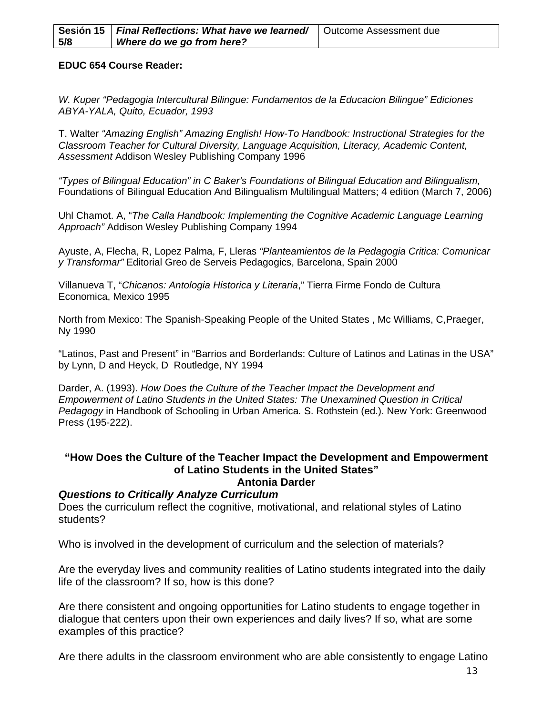|     | Sesión 15   Final Reflections: What have we learned/   Outcome Assessment due |  |
|-----|-------------------------------------------------------------------------------|--|
| 5/8 | Where do we go from here?                                                     |  |

#### **EDUC 654 Course Reader:**

*W. Kuper "Pedagogia Intercultural Bilingue: Fundamentos de la Educacion Bilingue" Ediciones ABYA-YALA, Quito, Ecuador, 1993* 

T. Walter *"Amazing English" Amazing English! How-To Handbook: Instructional Strategies for the Classroom Teacher for Cultural Diversity, Language Acquisition, Literacy, Academic Content, Assessment* Addison Wesley Publishing Company 1996

*"Types of Bilingual Education" in C Baker's Foundations of Bilingual Education and Bilingualism,*  Foundations of Bilingual Education And Bilingualism Multilingual Matters; 4 edition (March 7, 2006)

Uhl Chamot. A, "*The Calla Handbook: Implementing the Cognitive Academic Language Learning Approach"* Addison Wesley Publishing Company 1994

Ayuste, A, Flecha, R, Lopez Palma, F, Lleras *"Planteamientos de la Pedagogia Critica: Comunicar y Transformar"* Editorial Greo de Serveis Pedagogics, Barcelona, Spain 2000

Villanueva T, "*Chicanos: Antologia Historica y Literaria*," Tierra Firme Fondo de Cultura Economica, Mexico 1995

North from Mexico: The Spanish-Speaking People of the United States , Mc Williams, C,Praeger, Ny 1990

"Latinos, Past and Present" in "Barrios and Borderlands: Culture of Latinos and Latinas in the USA" by Lynn, D and Heyck, D Routledge, NY 1994

Darder, A. (1993). *How Does the Culture of the Teacher Impact the Development and Empowerment of Latino Students in the United States: The Unexamined Question in Critical Pedagogy* in Handbook of Schooling in Urban America*.* S. Rothstein (ed.). New York: Greenwood Press (195-222).

#### **"How Does the Culture of the Teacher Impact the Development and Empowerment of Latino Students in the United States" Antonia Darder**

#### *Questions to Critically Analyze Curriculum*

Does the curriculum reflect the cognitive, motivational, and relational styles of Latino students?

Who is involved in the development of curriculum and the selection of materials?

Are the everyday lives and community realities of Latino students integrated into the daily life of the classroom? If so, how is this done?

Are there consistent and ongoing opportunities for Latino students to engage together in dialogue that centers upon their own experiences and daily lives? If so, what are some examples of this practice?

Are there adults in the classroom environment who are able consistently to engage Latino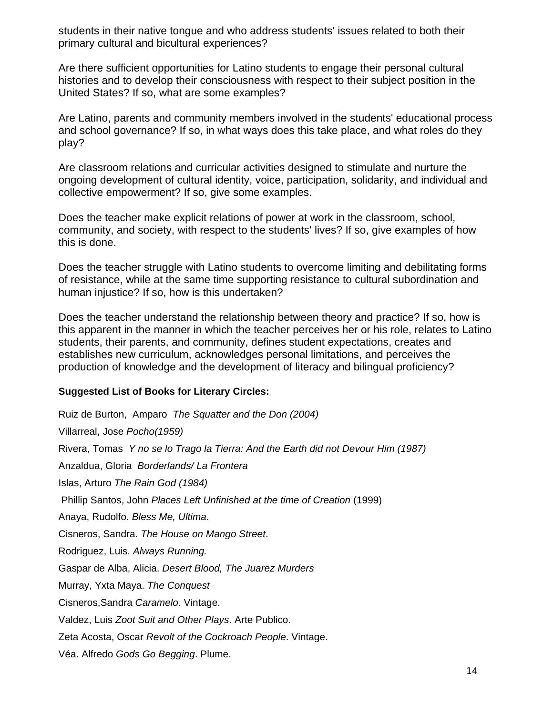students in their native tongue and who address students' issues related to both their primary cultural and bicultural experiences?

Are there sufficient opportunities for Latino students to engage their personal cultural histories and to develop their consciousness with respect to their subject position in the United States? If so, what are some examples?

Are Latino, parents and community members involved in the students' educational process and school governance? If so, in what ways does this take place, and what roles do they play?

Are classroom relations and curricular activities designed to stimulate and nurture the ongoing development of cultural identity, voice, participation, solidarity, and individual and collective empowerment? If so, give some examples.

Does the teacher make explicit relations of power at work in the classroom, school, community, and society, with respect to the students' lives? If so, give examples of how this is done.

Does the teacher struggle with Latino students to overcome limiting and debilitating forms of resistance, while at the same time supporting resistance to cultural subordination and human injustice? If so, how is this undertaken?

Does the teacher understand the relationship between theory and practice? If so, how is this apparent in the manner in which the teacher perceives her or his role, relates to Latino students, their parents, and community, defines student expectations, creates and establishes new curriculum, acknowledges personal limitations, and perceives the production of knowledge and the development of literacy and bilingual proficiency?

#### **Suggested List of Books for Literary Circles:**

 Ruiz de Burton, Amparo *The Squatter and the Don (2004)*  Cisneros, Sandra Caramelo. Vintage. Villarreal, Jose *Pocho(1959)*  Rivera, Tomas *Y no se lo Trago la Tierra: And the Earth did not Devour Him (1987)*  Anzaldua, Gloria *Borderlands/ La Frontera*  Islas, Arturo *The Rain God (1984)*  Phillip Santos, John *Places Left Unfinished at the time of Creation* (1999) Anaya, Rudolfo. *Bless Me, Ultima*. Cisneros, Sandra. *The House on Mango Street*. Rodriguez, Luis. *Always Running.*  Gaspar de Alba, Alicia. *Desert Blood, The Juarez Murders*  Murray, Yxta Maya. *The Conquest*  Valdez, Luis Zoot Suit and Other Plays. Arte Publico. Zeta Acosta, Oscar *Revolt of the Cockroach People*. Vintage. Véa. Alfredo *Gods Go Begging*. Plume.